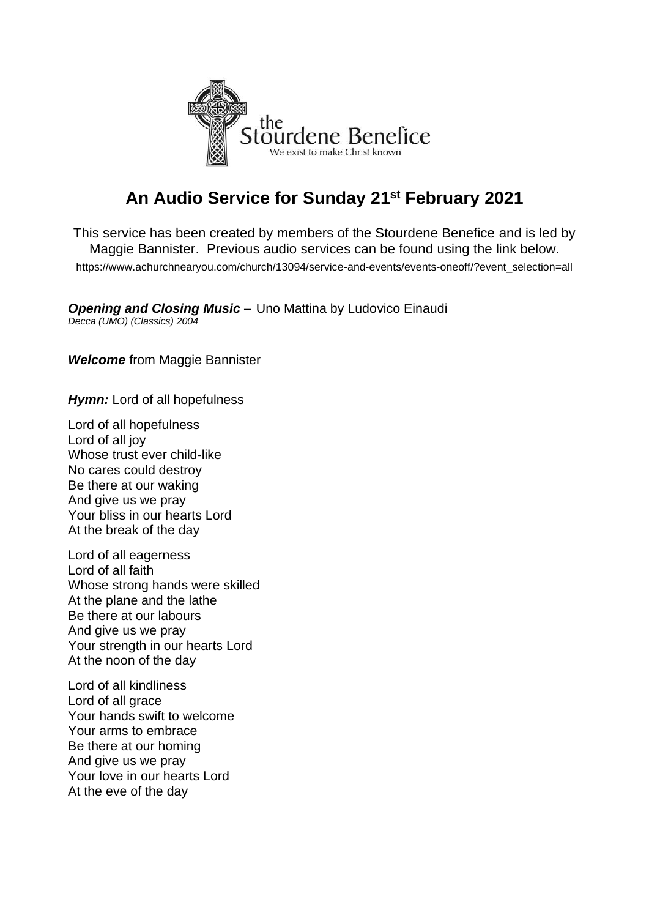

# **An Audio Service for Sunday 21st February 2021**

This service has been created by members of the Stourdene Benefice and is led by Maggie Bannister. Previous audio services can be found using the link below. [https://www.achurchnearyou.com/church/13094/service-and-events/events-oneoff/?event\\_selection=all](https://www.achurchnearyou.com/church/13094/service-and-events/events-oneoff/?event_selection=all)

*Opening and Closing Music* – Uno Mattina by Ludovico Einaudi *Decca (UMO) (Classics) 2004*

*Welcome* from Maggie Bannister

**Hymn:** Lord of all hopefulness

Lord of all hopefulness Lord of all joy Whose trust ever child-like No cares could destroy Be there at our waking And give us we pray Your bliss in our hearts Lord At the break of the day

Lord of all eagerness Lord of all faith Whose strong hands were skilled At the plane and the lathe Be there at our labours And give us we pray Your strength in our hearts Lord At the noon of the day

Lord of all kindliness Lord of all grace Your hands swift to welcome Your arms to embrace Be there at our homing And give us we pray Your love in our hearts Lord At the eve of the day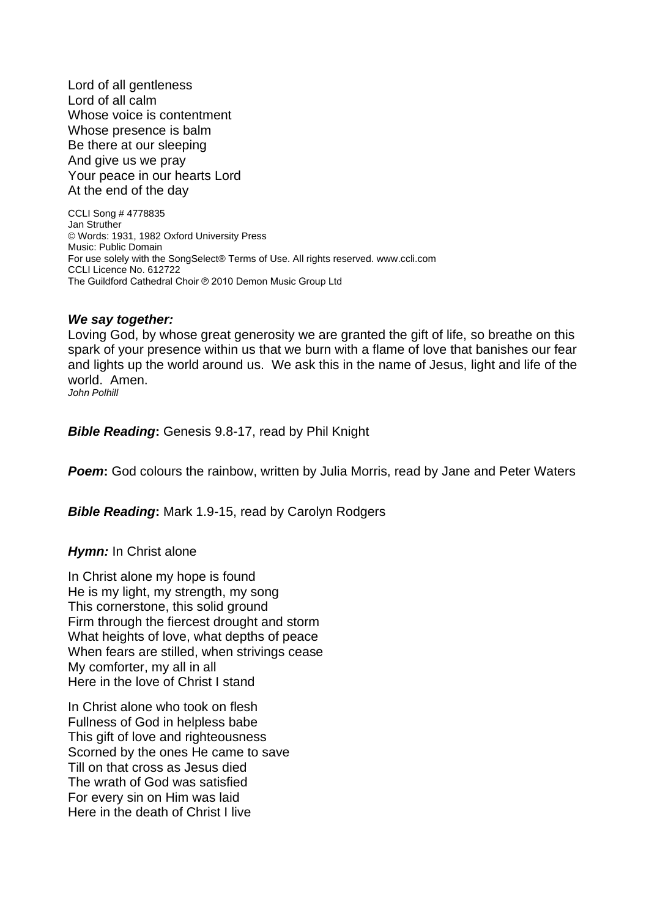Lord of all gentleness Lord of all calm Whose voice is contentment Whose presence is balm Be there at our sleeping And give us we pray Your peace in our hearts Lord At the end of the day

CCLI Song # 4778835 Jan Struther © Words: 1931, 1982 Oxford University Press Music: Public Domain For use solely with the SongSelect® Terms of Use. All rights reserved. www.ccli.com CCLI Licence No. 612722 The Guildford Cathedral Choir ℗ 2010 Demon Music Group Ltd

## *We say together:*

Loving God, by whose great generosity we are granted the gift of life, so breathe on this spark of your presence within us that we burn with a flame of love that banishes our fear and lights up the world around us. We ask this in the name of Jesus, light and life of the world. Amen. *John Polhill*

*Bible Reading***:** Genesis 9.8-17, read by Phil Knight

**Poem:** God colours the rainbow, written by Julia Morris, read by Jane and Peter Waters

*Bible Reading***:** Mark 1.9-15, read by Carolyn Rodgers

#### **Hymn:** In Christ alone

In Christ alone my hope is found He is my light, my strength, my song This cornerstone, this solid ground Firm through the fiercest drought and storm What heights of love, what depths of peace When fears are stilled, when strivings cease My comforter, my all in all Here in the love of Christ I stand

In Christ alone who took on flesh Fullness of God in helpless babe This gift of love and righteousness Scorned by the ones He came to save Till on that cross as Jesus died The wrath of God was satisfied For every sin on Him was laid Here in the death of Christ I live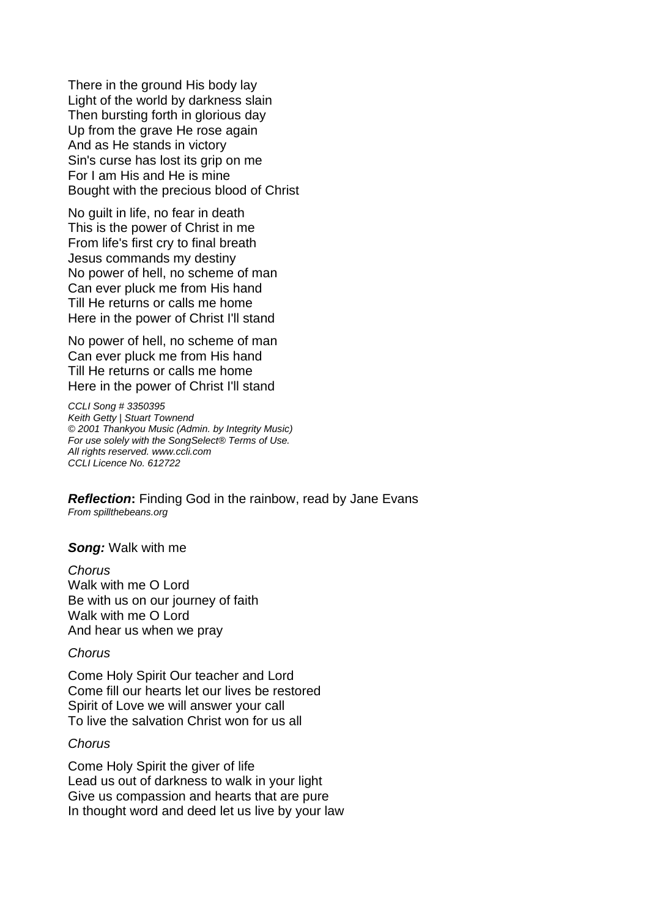There in the ground His body lay Light of the world by darkness slain Then bursting forth in glorious day Up from the grave He rose again And as He stands in victory Sin's curse has lost its grip on me For I am His and He is mine Bought with the precious blood of Christ

No guilt in life, no fear in death This is the power of Christ in me From life's first cry to final breath Jesus commands my destiny No power of hell, no scheme of man Can ever pluck me from His hand Till He returns or calls me home Here in the power of Christ I'll stand

No power of hell, no scheme of man Can ever pluck me from His hand Till He returns or calls me home Here in the power of Christ I'll stand

*CCLI Song # 3350395 Keith Getty | Stuart Townend © 2001 Thankyou Music (Admin. by Integrity Music) For use solely with the SongSelect® Terms of Use. All rights reserved. www.ccli.com CCLI Licence No. 612722*

*Reflection***:** Finding God in the rainbow, read by Jane Evans *From spillthebeans.org*

#### *Song:* Walk with me

*Chorus* Walk with me O Lord Be with us on our journey of faith Walk with me O Lord And hear us when we pray

#### *Chorus*

Come Holy Spirit Our teacher and Lord Come fill our hearts let our lives be restored Spirit of Love we will answer your call To live the salvation Christ won for us all

#### *Chorus*

Come Holy Spirit the giver of life Lead us out of darkness to walk in your light Give us compassion and hearts that are pure In thought word and deed let us live by your law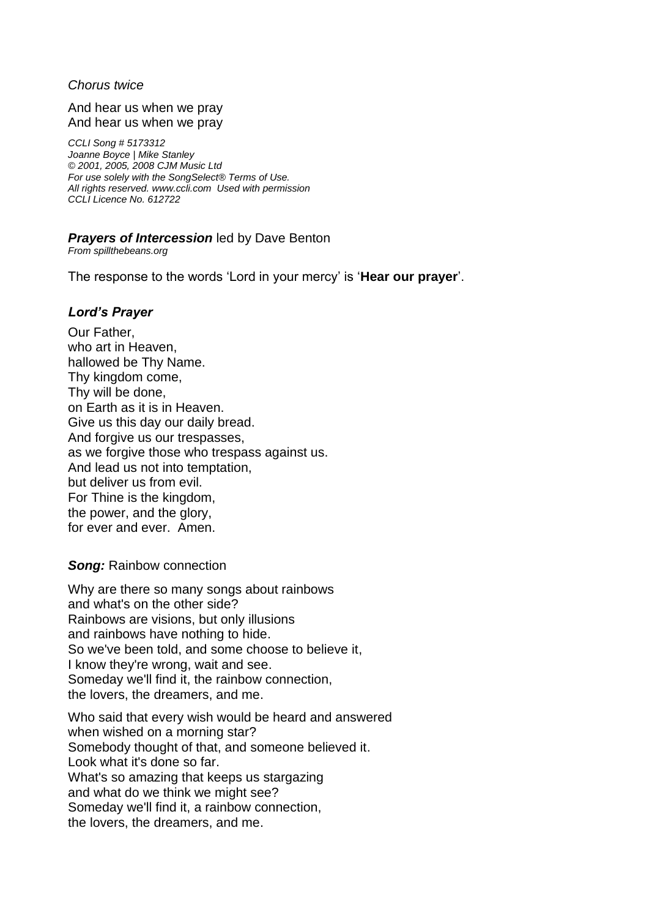#### *Chorus twice*

#### And hear us when we pray And hear us when we pray

*CCLI Song # 5173312 Joanne Boyce | Mike Stanley © 2001, 2005, 2008 CJM Music Ltd For use solely with the SongSelect® Terms of Use. All rights reserved[. www.ccli.com](http://www.ccli.com/) Used with permission CCLI Licence No. 612722*

#### *Prayers of Intercession* led by Dave Benton

*From spillthebeans.org*

The response to the words 'Lord in your mercy' is '**Hear our prayer**'.

#### *Lord's Prayer*

Our Father, who art in Heaven. hallowed be Thy Name. Thy kingdom come, Thy will be done, on Earth as it is in Heaven. Give us this day our daily bread. And forgive us our trespasses, as we forgive those who trespass against us. And lead us not into temptation, but deliver us from evil. For Thine is the kingdom, the power, and the glory, for ever and ever. Amen.

#### *Song: Rainbow connection*

Why are there so many songs about rainbows and what's on the other side? Rainbows are visions, but only illusions and rainbows have nothing to hide. So we've been told, and some choose to believe it, I know they're wrong, wait and see. Someday we'll find it, the rainbow connection, the lovers, the dreamers, and me.

Who said that every wish would be heard and answered when wished on a morning star? Somebody thought of that, and someone believed it. Look what it's done so far. What's so amazing that keeps us stargazing and what do we think we might see? Someday we'll find it, a rainbow connection, the lovers, the dreamers, and me.